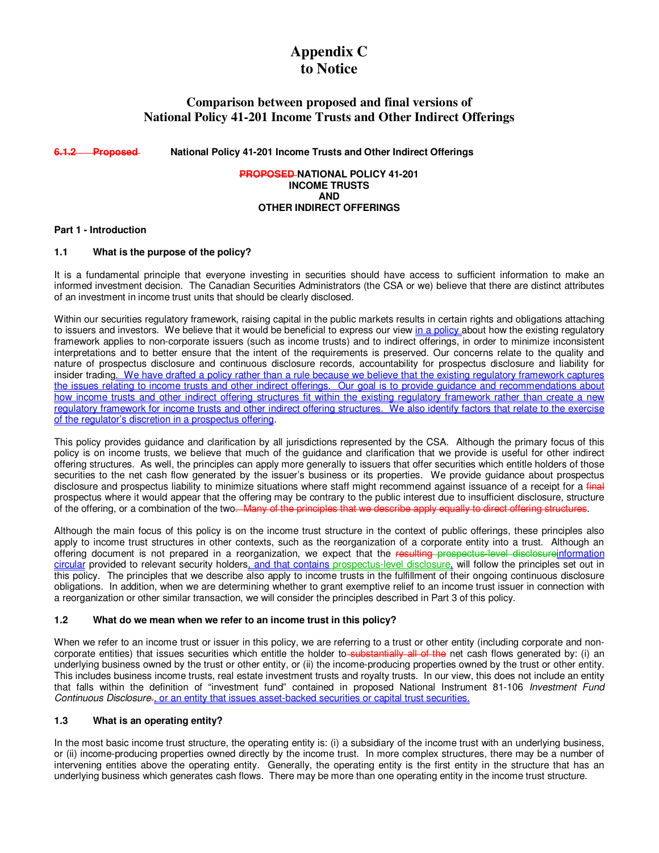# **Appendix C to Notice**

## **Comparison between proposed and final versions of National Policy 41-201 Income Trusts and Other Indirect Offerings**

**6.1.2 Proposed National Policy 41-201 Income Trusts and Other Indirect Offerings**

#### **PROPOSED NATIONAL POLICY 41-201 INCOME TRUSTS AND OTHER INDIRECT OFFERINGS**

## **Part 1 - Introduction**

## **1.1 What is the purpose of the policy?**

It is a fundamental principle that everyone investing in securities should have access to sufficient information to make an informed investment decision. The Canadian Securities Administrators (the CSA or we) believe that there are distinct attributes of an investment in income trust units that should be clearly disclosed.

Within our securities regulatory framework, raising capital in the public markets results in certain rights and obligations attaching to issuers and investors. We believe that it would be beneficial to express our view in a policy about how the existing regulatory framework applies to non-corporate issuers (such as income trusts) and to indirect offerings, in order to minimize inconsistent interpretations and to better ensure that the intent of the requirements is preserved. Our concerns relate to the quality and nature of prospectus disclosure and continuous disclosure records, accountability for prospectus disclosure and liability for insider trading. We have drafted a policy rather than a rule because we believe that the existing regulatory framework captures the issues relating to income trusts and other indirect offerings. Our goal is to provide guidance and recommendations about how income trusts and other indirect offering structures fit within the existing regulatory framework rather than create a new regulatory framework for income trusts and other indirect offering structures. We also identify factors that relate to the exercise of the regulator's discretion in a prospectus offering.

This policy provides guidance and clarification by all jurisdictions represented by the CSA. Although the primary focus of this policy is on income trusts, we believe that much of the guidance and clarification that we provide is useful for other indirect offering structures. As well, the principles can apply more generally to issuers that offer securities which entitle holders of those securities to the net cash flow generated by the issuer's business or its properties. We provide guidance about prospectus disclosure and prospectus liability to minimize situations where staff might recommend against issuance of a receipt for a final prospectus where it would appear that the offering may be contrary to the public interest due to insufficient disclosure, structure of the offering, or a combination of the two. Many of the principles that we describe apply equally to direct offering structures.

Although the main focus of this policy is on the income trust structure in the context of public offerings, these principles also apply to income trust structures in other contexts, such as the reorganization of a corporate entity into a trust. Although an offering document is not prepared in a reorganization, we expect that the resulting prospectus-level disclosureinformation circular provided to relevant security holders, and that contains prospectus-level disclosure, will follow the principles set out in this policy. The principles that we describe also apply to income trusts in the fulfillment of their ongoing continuous disclosure obligations. In addition, when we are determining whether to grant exemptive relief to an income trust issuer in connection with a reorganization or other similar transaction, we will consider the principles described in Part 3 of this policy.

## **1.2 What do we mean when we refer to an income trust in this policy?**

When we refer to an income trust or issuer in this policy, we are referring to a trust or other entity (including corporate and noncorporate entities) that issues securities which entitle the holder to-substantially all of the net cash flows generated by: (i) an underlying business owned by the trust or other entity, or (ii) the income-producing properties owned by the trust or other entity. This includes business income trusts, real estate investment trusts and royalty trusts. In our view, this does not include an entity that falls within the definition of "investment fund" contained in proposed National Instrument 81-106 *Investment Fund Continuous Disclosure*., or an entity that issues asset-backed securities or capital trust securities.

## **1.3 What is an operating entity?**

In the most basic income trust structure, the operating entity is: (i) a subsidiary of the income trust with an underlying business, or (ii) income-producing properties owned directly by the income trust. In more complex structures, there may be a number of intervening entities above the operating entity. Generally, the operating entity is the first entity in the structure that has an underlying business which generates cash flows. There may be more than one operating entity in the income trust structure.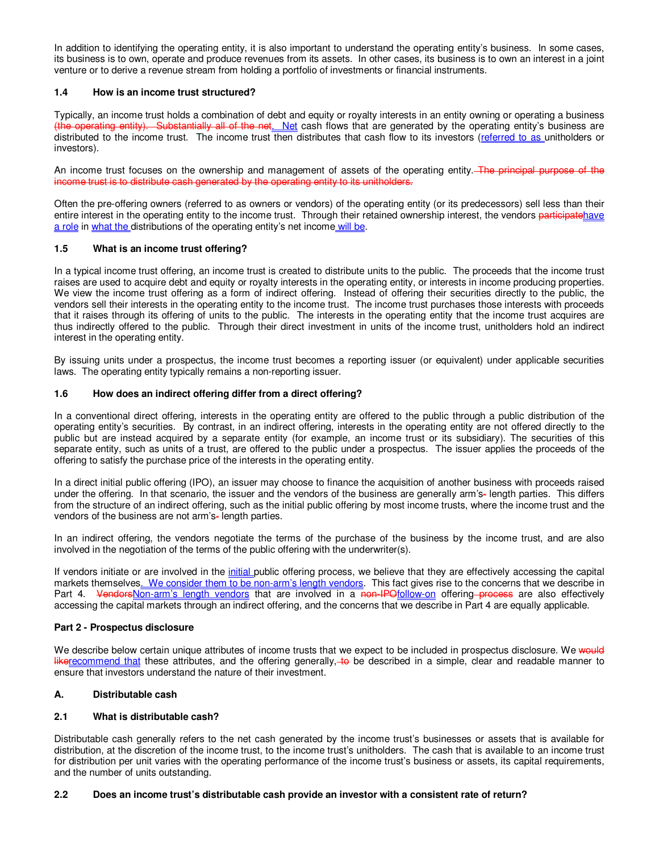In addition to identifying the operating entity, it is also important to understand the operating entity's business. In some cases, its business is to own, operate and produce revenues from its assets. In other cases, its business is to own an interest in a joint venture or to derive a revenue stream from holding a portfolio of investments or financial instruments.

## **1.4 How is an income trust structured?**

Typically, an income trust holds a combination of debt and equity or royalty interests in an entity owning or operating a business ating entity). Substantially all of the net. Net cash flows that are generated by the operating entity's business are distributed to the income trust. The income trust then distributes that cash flow to its investors (referred to as unitholders or investors).

An income trust focuses on the ownership and management of assets of the operating entity. The principal purpose of the income trust is to distribute cash generated by the operating entity to its unitholders.

Often the pre-offering owners (referred to as owners or vendors) of the operating entity (or its predecessors) sell less than their entire interest in the operating entity to the income trust. Through their retained ownership interest, the vendors participatehave a role in what the distributions of the operating entity's net income will be.

## **1.5 What is an income trust offering?**

In a typical income trust offering, an income trust is created to distribute units to the public. The proceeds that the income trust raises are used to acquire debt and equity or royalty interests in the operating entity, or interests in income producing properties. We view the income trust offering as a form of indirect offering. Instead of offering their securities directly to the public, the vendors sell their interests in the operating entity to the income trust. The income trust purchases those interests with proceeds that it raises through its offering of units to the public. The interests in the operating entity that the income trust acquires are thus indirectly offered to the public. Through their direct investment in units of the income trust, unitholders hold an indirect interest in the operating entity.

By issuing units under a prospectus, the income trust becomes a reporting issuer (or equivalent) under applicable securities laws. The operating entity typically remains a non-reporting issuer.

## **1.6 How does an indirect offering differ from a direct offering?**

In a conventional direct offering, interests in the operating entity are offered to the public through a public distribution of the operating entity's securities. By contrast, in an indirect offering, interests in the operating entity are not offered directly to the public but are instead acquired by a separate entity (for example, an income trust or its subsidiary). The securities of this separate entity, such as units of a trust, are offered to the public under a prospectus. The issuer applies the proceeds of the offering to satisfy the purchase price of the interests in the operating entity.

In a direct initial public offering (IPO), an issuer may choose to finance the acquisition of another business with proceeds raised under the offering. In that scenario, the issuer and the vendors of the business are generally arm's- length parties. This differs from the structure of an indirect offering, such as the initial public offering by most income trusts, where the income trust and the vendors of the business are not arm's- length parties.

In an indirect offering, the vendors negotiate the terms of the purchase of the business by the income trust, and are also involved in the negotiation of the terms of the public offering with the underwriter(s).

If vendors initiate or are involved in the *initial* public offering process, we believe that they are effectively accessing the capital markets themselves. We consider them to be non-arm's length vendors. This fact gives rise to the concerns that we describe in Part 4. VendorsNon-arm's length vendors that are involved in a non-IPOfollow-on offering process are also effectively accessing the capital markets through an indirect offering, and the concerns that we describe in Part 4 are equally applicable.

## **Part 2 - Prospectus disclosure**

We describe below certain unique attributes of income trusts that we expect to be included in prospectus disclosure. We would likerecommend that these attributes, and the offering generally, to be described in a simple, clear and readable manner to ensure that investors understand the nature of their investment.

## **A. Distributable cash**

## **2.1 What is distributable cash?**

Distributable cash generally refers to the net cash generated by the income trust's businesses or assets that is available for distribution, at the discretion of the income trust, to the income trust's unitholders. The cash that is available to an income trust for distribution per unit varies with the operating performance of the income trust's business or assets, its capital requirements, and the number of units outstanding.

## **2.2 Does an income trust's distributable cash provide an investor with a consistent rate of return?**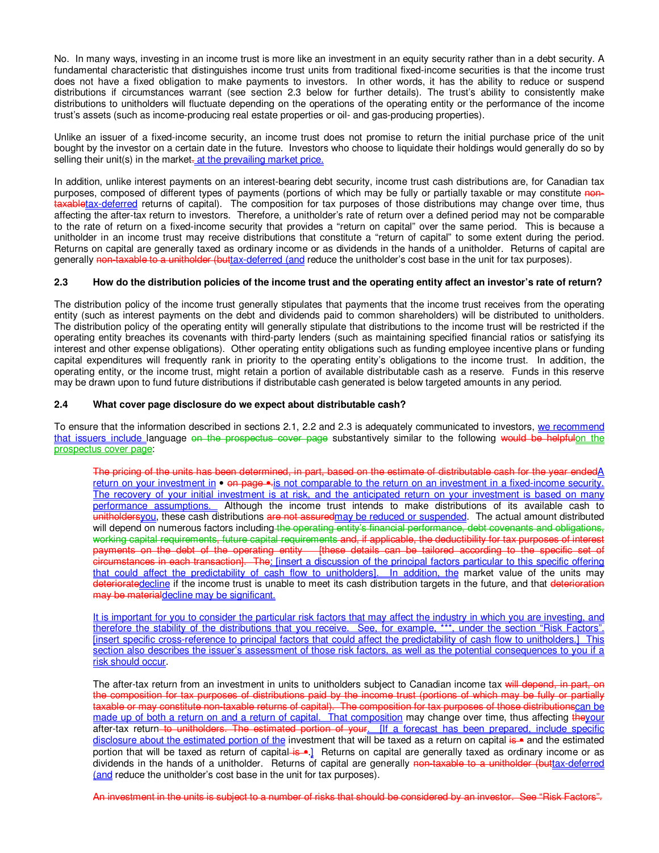No. In many ways, investing in an income trust is more like an investment in an equity security rather than in a debt security. A fundamental characteristic that distinguishes income trust units from traditional fixed-income securities is that the income trust does not have a fixed obligation to make payments to investors. In other words, it has the ability to reduce or suspend distributions if circumstances warrant (see section 2.3 below for further details). The trust's ability to consistently make distributions to unitholders will fluctuate depending on the operations of the operating entity or the performance of the income trust's assets (such as income-producing real estate properties or oil- and gas-producing properties).

Unlike an issuer of a fixed-income security, an income trust does not promise to return the initial purchase price of the unit bought by the investor on a certain date in the future. Investors who choose to liquidate their holdings would generally do so by selling their unit(s) in the market-at the prevailing market price.

In addition, unlike interest payments on an interest-bearing debt security, income trust cash distributions are, for Canadian tax purposes, composed of different types of payments (portions of which may be fully or partially taxable or may constitute nontaxabletax-deferred returns of capital). The composition for tax purposes of those distributions may change over time, thus affecting the after-tax return to investors. Therefore, a unitholder's rate of return over a defined period may not be comparable to the rate of return on a fixed-income security that provides a "return on capital" over the same period. This is because a unitholder in an income trust may receive distributions that constitute a "return of capital" to some extent during the period. Returns on capital are generally taxed as ordinary income or as dividends in the hands of a unitholder. Returns of capital are generally non-taxable to a unitholder (buttax-deferred (and reduce the unitholder's cost base in the unit for tax purposes).

## 2.3 How do the distribution policies of the income trust and the operating entity affect an investor's rate of return?

The distribution policy of the income trust generally stipulates that payments that the income trust receives from the operating entity (such as interest payments on the debt and dividends paid to common shareholders) will be distributed to unitholders. The distribution policy of the operating entity will generally stipulate that distributions to the income trust will be restricted if the operating entity breaches its covenants with third-party lenders (such as maintaining specified financial ratios or satisfying its interest and other expense obligations). Other operating entity obligations such as funding employee incentive plans or funding capital expenditures will frequently rank in priority to the operating entity's obligations to the income trust. In addition, the operating entity, or the income trust, might retain a portion of available distributable cash as a reserve. Funds in this reserve may be drawn upon to fund future distributions if distributable cash generated is below targeted amounts in any period.

## **2.4 What cover page disclosure do we expect about distributable cash?**

To ensure that the information described in sections 2.1, 2.2 and 2.3 is adequately communicated to investors, we recommend that issuers include language on the prospectus cover page substantively similar to the following would be helpfulon the prospectus cover page:

The pricing of the units has been determined, in part, based on the estimate of distributable cash for the year endedA return on your investment in • on page •-is not comparable to the return on an investment in a fixed-income security. The recovery of your initial investment is at risk, and the anticipated return on your investment is based on many performance assumptions. Although the income trust intends to make distributions of its available cash to unitholdersyou, these cash distributions are not assured may be reduced or suspended. The actual amount distributed will depend on numerous factors including the operating entity's financial performance, debt covenants and obligations, working capital requirements, future capital requirements and, if applicable, the deductibility for tax purposes of interest payments on the debt of the operating entity [these details can be tailored according to the specific set of circumstances in each transaction]. The: [insert a discussion of the principal factors particular to this specific offering that could affect the predictability of cash flow to unitholders]. In addition, the market value of the units may deterioratedecline if the income trust is unable to meet its cash distribution targets in the future, and that deterioration may be materialdecline may be significant.

It is important for you to consider the particular risk factors that may affect the industry in which you are investing, and therefore the stability of the distributions that you receive. See, for example, \*\*\*, under the section "Risk Factors". [insert specific cross-reference to principal factors that could affect the predictability of cash flow to unitholders.] This section also describes the issuer's assessment of those risk factors, as well as the potential consequences to you if a risk should occur.

The after-tax return from an investment in units to unitholders subject to Canadian income tax will depend, in part, the composition for tax purposes of distributions paid by the income trust (portions of which may be fully or partially taxable or may constitute non-taxable returns of capital). The composition for tax purposes of those distributionscan be made up of both a return on and a return of capital. That composition may change over time, thus affecting theyour after-tax return<del> to unitholders. The estimated portion of your<u>. [If a forecast has been prepared, include specific</u></del> disclosure about the estimated portion of the investment that will be taxed as a return on capital is • and the estimated portion that will be taxed as return of capital-is •.] Returns on capital are generally taxed as ordinary income or as dividends in the hands of a unitholder. Returns of capital are generally non-taxable to a unitholder (buttax-deferred (and reduce the unitholder's cost base in the unit for tax purposes).

An investment in the units is subject to a number of risks that should be considered by an investor. See "Risk Factors"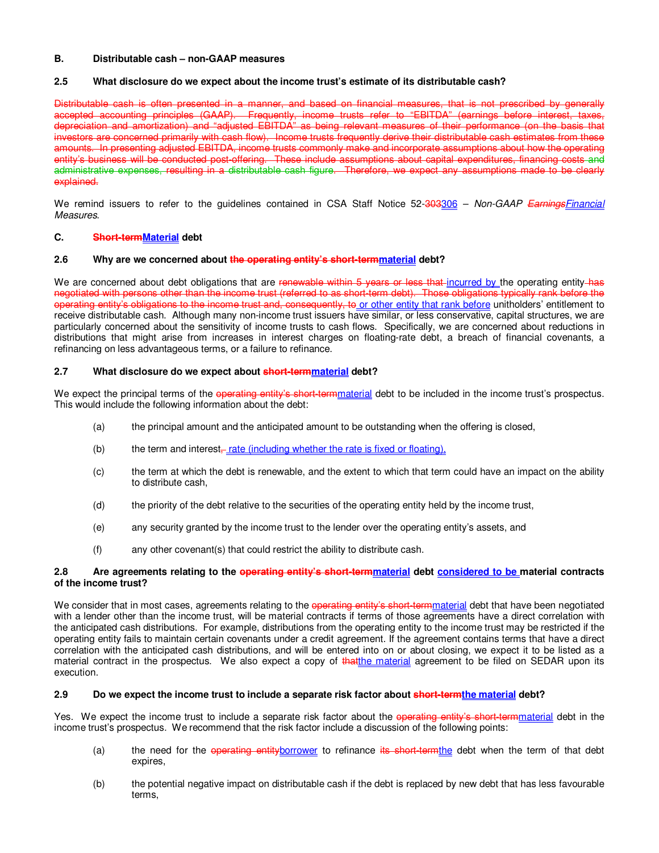## **B. Distributable cash – non-GAAP measures**

## **2.5 What disclosure do we expect about the income trust's estimate of its distributable cash?**

Distributable cash is often presented in a manner, and based on financial measures, that is not prescribed by generally accepted accounting principles (GAAP). Frequently, income trusts refer to "EBITDA" (earnings before interest, taxes, depreciation and amortization) and "adjusted EBITDA" as being relevant measures of their performance (on the basis that investors are concerned primarily with cash flow). Income trusts frequently derive their distributable cash estimates from these amounts. In presenting adjusted EBITDA, income trusts commonly make and incorporate assumptions about how the operating entity's business will be conducted post-offering. These include assumptions about capital expenditures, financing costs and administrative expenses, resulting in a distributable cash figure. Therefore, we expect any assumptions made to be clearly explained.

We remind issuers to refer to the guidelines contained in CSA Staff Notice 52-303306 – *Non-GAAP EarningsFinancial Measures*.

## **C. Short-termMaterial debt**

## **2.6 Why are we concerned about the operating entity's short-termmaterial debt?**

We are concerned about debt obligations that are renewable within 5 years or less that incurred by the operating entity has negotiated with persons other than the income trust (referred to as short-term debt). Those obligations typically rank before the operating entity's obligations to the income trust and, consequently, to or other entity that rank before unitholders' entitlement to receive distributable cash. Although many non-income trust issuers have similar, or less conservative, capital structures, we are particularly concerned about the sensitivity of income trusts to cash flows. Specifically, we are concerned about reductions in distributions that might arise from increases in interest charges on floating-rate debt, a breach of financial covenants, a refinancing on less advantageous terms, or a failure to refinance.

## **2.7 What disclosure do we expect about short-termmaterial debt?**

We expect the principal terms of the operating entity's short-termmaterial debt to be included in the income trust's prospectus. This would include the following information about the debt:

- (a) the principal amount and the anticipated amount to be outstanding when the offering is closed,
- (b) the term and interest—rate (including whether the rate is fixed or floating),
- (c) the term at which the debt is renewable, and the extent to which that term could have an impact on the ability to distribute cash,
- (d) the priority of the debt relative to the securities of the operating entity held by the income trust,
- (e) any security granted by the income trust to the lender over the operating entity's assets, and
- (f) any other covenant(s) that could restrict the ability to distribute cash.

## **2.8 Are agreements relating to the operating entity's short-termmaterial debt considered to be material contracts of the income trust?**

We consider that in most cases, agreements relating to the operating entity's short-termmaterial debt that have been negotiated with a lender other than the income trust, will be material contracts if terms of those agreements have a direct correlation with the anticipated cash distributions. For example, distributions from the operating entity to the income trust may be restricted if the operating entity fails to maintain certain covenants under a credit agreement. If the agreement contains terms that have a direct correlation with the anticipated cash distributions, and will be entered into on or about closing, we expect it to be listed as a material contract in the prospectus. We also expect a copy of that the material agreement to be filed on SEDAR upon its execution.

## **2.9 Do we expect the income trust to include a separate risk factor about short-termthe material debt?**

Yes. We expect the income trust to include a separate risk factor about the operating entity's short-termmaterial debt in the income trust's prospectus. We recommend that the risk factor include a discussion of the following points:

- (a) the need for the operating entity borrower to refinance its short-term the debt when the term of that debt expires,
- (b) the potential negative impact on distributable cash if the debt is replaced by new debt that has less favourable terms,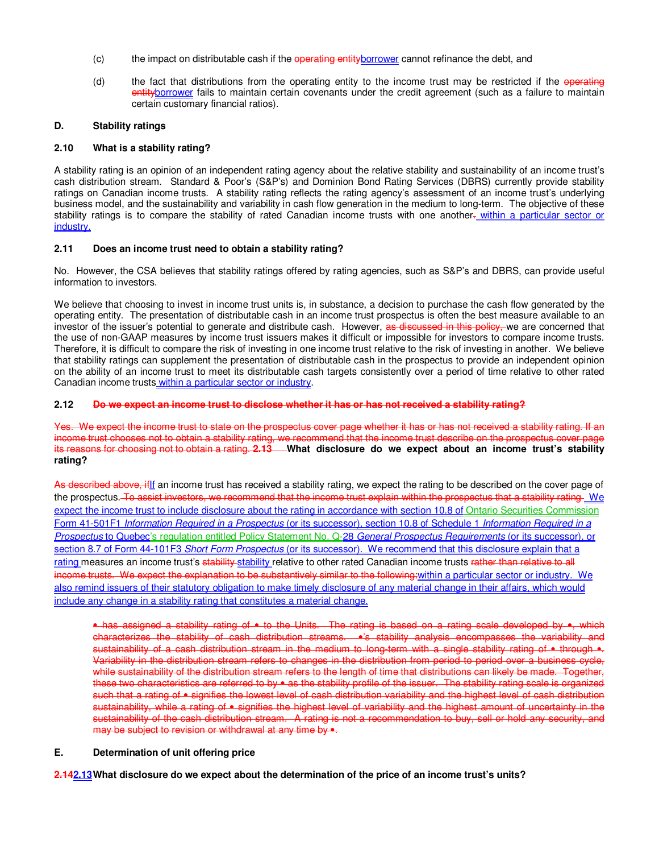- (c) the impact on distributable cash if the operating entity borrower cannot refinance the debt, and
- (d) the fact that distributions from the operating entity to the income trust may be restricted if the operating entityborrower fails to maintain certain covenants under the credit agreement (such as a failure to maintain certain customary financial ratios).

## **D. Stability ratings**

## **2.10 What is a stability rating?**

A stability rating is an opinion of an independent rating agency about the relative stability and sustainability of an income trust's cash distribution stream. Standard & Poor's (S&P's) and Dominion Bond Rating Services (DBRS) currently provide stability ratings on Canadian income trusts. A stability rating reflects the rating agency's assessment of an income trust's underlying business model, and the sustainability and variability in cash flow generation in the medium to long-term. The objective of these stability ratings is to compare the stability of rated Canadian income trusts with one another-within a particular sector or industry.

## **2.11 Does an income trust need to obtain a stability rating?**

No. However, the CSA believes that stability ratings offered by rating agencies, such as S&P's and DBRS, can provide useful information to investors.

We believe that choosing to invest in income trust units is, in substance, a decision to purchase the cash flow generated by the operating entity. The presentation of distributable cash in an income trust prospectus is often the best measure available to an investor of the issuer's potential to generate and distribute cash. However, as discussed in this policy, we are concerned that the use of non-GAAP measures by income trust issuers makes it difficult or impossible for investors to compare income trusts. Therefore, it is difficult to compare the risk of investing in one income trust relative to the risk of investing in another. We believe that stability ratings can supplement the presentation of distributable cash in the prospectus to provide an independent opinion on the ability of an income trust to meet its distributable cash targets consistently over a period of time relative to other rated Canadian income trusts within a particular sector or industry.

## 2.12 Do we expect an income trust to disclose whether it has or has not received a stability rating?

Yes. We expect the income trust to state on the prospectus cover page whether it has or has not received a stability rating. If an income trust chooses not to obtain a stability rating, we recommend that the income trust describe on the prospectus cover page its reasons for choosing not to obtain a rating. **2.13 What disclosure do we expect about an income trust's stability rating?**

As described above, if If an income trust has received a stability rating, we expect the rating to be described on the cover page of the prospectus. To assist investors, we recommend that the income trust explain within the prospectus that a stability rating. We expect the income trust to include disclosure about the rating in accordance with section 10.8 of Ontario Securities Commission Form 41-501F1 *Information Required in a Prospectus* (or its successor), section 10.8 of Schedule 1 *Information Required in a Prospectus* to Quebec's regulation entitled Policy Statement No. Q-28 *General Prospectus Requirements* (or its successor), or section 8.7 of Form 44-101F3 *Short Form Prospectus* (or its successor). We recommend that this disclosure explain that a rating measures an income trust's stability-stability relative to other rated Canadian income trusts rather than relative to all income trusts. We expect the explanation to be substantively similar to the following:within a particular sector or industry. We also remind issuers of their statutory obligation to make timely disclosure of any material change in their affairs, which would include any change in a stability rating that constitutes a material change.

• has assigned a stability rating of • to the Units. The rating is based on a rating scale developed by •, which characterizes the stability of cash distribution streams. •'s stability analysis encompasses the variability and sustainability of a cash distribution stream in the medium to long-term with a single stability rating of • through •. Variability in the distribution stream refers to changes in the distribution from period to period over a business cycle, while sustainability of the distribution stream refers to the length of time that distributions can likely be made. Together, these two characteristics are referred to by • as the stability profile of the issuer. The stability rating scale is organized such that a rating of • signifies the lowest level of cash distribution variability and the highest level of cash distribution sustainability, while a rating of • signifies the highest level of variability and the highest amount of uncertainty in the sustainability of the cash distribution stream. A rating is not a recommendation to buy, sell or hold any security, and may be subject to revision or withdrawal at any time by •.

## **E. Determination of unit offering price**

**2.142.13What disclosure do we expect about the determination of the price of an income trust's units?**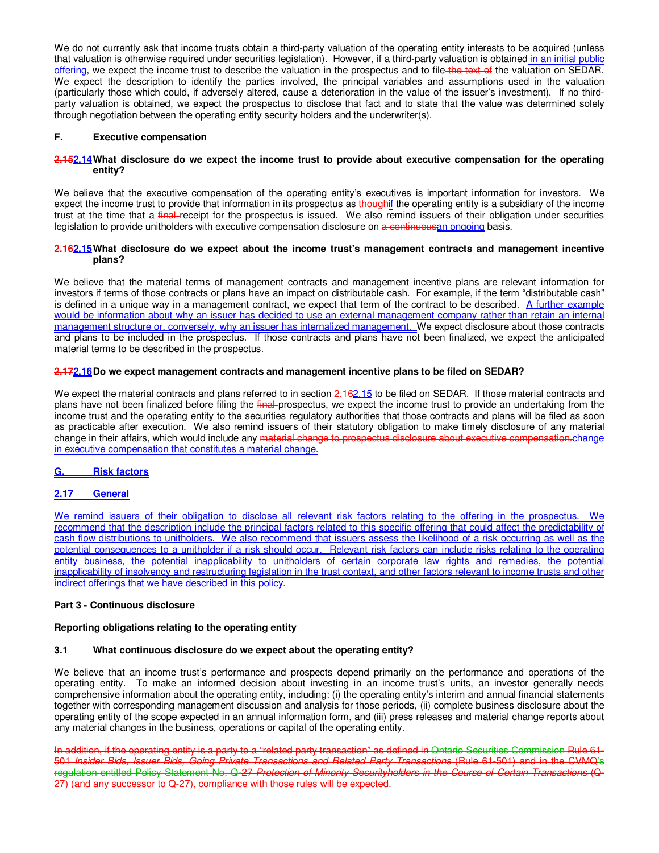We do not currently ask that income trusts obtain a third-party valuation of the operating entity interests to be acquired (unless that valuation is otherwise required under securities legislation). However, if a third-party valuation is obtained in an initial public offering, we expect the income trust to describe the valuation in the prospectus and to file the text of the valuation on SEDAR. We expect the description to identify the parties involved, the principal variables and assumptions used in the valuation (particularly those which could, if adversely altered, cause a deterioration in the value of the issuer's investment). If no thirdparty valuation is obtained, we expect the prospectus to disclose that fact and to state that the value was determined solely through negotiation between the operating entity security holders and the underwriter(s).

## **F. Executive compensation**

#### **2.152.14What disclosure do we expect the income trust to provide about executive compensation for the operating entity?**

We believe that the executive compensation of the operating entity's executives is important information for investors. We expect the income trust to provide that information in its prospectus as thoughif the operating entity is a subsidiary of the income trust at the time that a *final-receipt* for the prospectus is issued. We also remind issuers of their obligation under securities legislation to provide unitholders with executive compensation disclosure on a continuousan ongoing basis.

## **2.162.15What disclosure do we expect about the income trust's management contracts and management incentive plans?**

We believe that the material terms of management contracts and management incentive plans are relevant information for investors if terms of those contracts or plans have an impact on distributable cash. For example, if the term "distributable cash" is defined in a unique way in a management contract, we expect that term of the contract to be described. A further example would be information about why an issuer has decided to use an external management company rather than retain an internal management structure or, conversely, why an issuer has internalized management. We expect disclosure about those contracts and plans to be included in the prospectus. If those contracts and plans have not been finalized, we expect the anticipated material terms to be described in the prospectus.

## **2.172.16Do we expect management contracts and management incentive plans to be filed on SEDAR?**

We expect the material contracts and plans referred to in section 2.162.15 to be filed on SEDAR. If those material contracts and plans have not been finalized before filing the final-prospectus, we expect the income trust to provide an undertaking from the income trust and the operating entity to the securities regulatory authorities that those contracts and plans will be filed as soon as practicable after execution. We also remind issuers of their statutory obligation to make timely disclosure of any material change in their affairs, which would include any material change to prospectus disclosure about executive compensation.change in executive compensation that constitutes a material change.

## **G. Risk factors**

## **2.17 General**

We remind issuers of their obligation to disclose all relevant risk factors relating to the offering in the prospectus. recommend that the description include the principal factors related to this specific offering that could affect the predictability of cash flow distributions to unitholders. We also recommend that issuers assess the likelihood of a risk occurring as well as the potential consequences to a unitholder if a risk should occur. Relevant risk factors can include risks relating to the operating entity business, the potential inapplicability to unitholders of certain corporate law rights and remedies, the potential inapplicability of insolvency and restructuring legislation in the trust context, and other factors relevant to income trusts and other indirect offerings that we have described in this policy.

## **Part 3 - Continuous disclosure**

## **Reporting obligations relating to the operating entity**

## **3.1 What continuous disclosure do we expect about the operating entity?**

We believe that an income trust's performance and prospects depend primarily on the performance and operations of the operating entity. To make an informed decision about investing in an income trust's units, an investor generally needs comprehensive information about the operating entity, including: (i) the operating entity's interim and annual financial statements together with corresponding management discussion and analysis for those periods, (ii) complete business disclosure about the operating entity of the scope expected in an annual information form, and (iii) press releases and material change reports about any material changes in the business, operations or capital of the operating entity.

In addition, if the operating entity is a party to a "related party transaction" as defined in Ontario Securities Commission Rule 61- 501 *Insider Bids, Issuer Bids, Going Private Transactions and Related Party Transactions* (Rule 61-501) and in the CVMQ's regulation entitled Policy Statement No. Q-27 *Protection of Minority Securityholders in the Course of Certain Transactions* (Q-27) (and any successor to Q-27), compliance with those rules will be expected.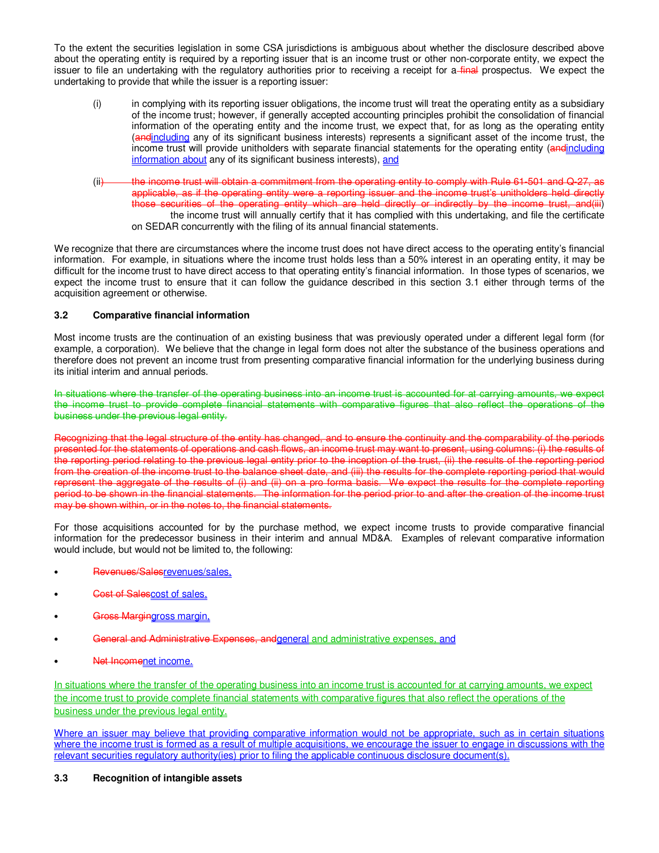To the extent the securities legislation in some CSA jurisdictions is ambiguous about whether the disclosure described above about the operating entity is required by a reporting issuer that is an income trust or other non-corporate entity, we expect the issuer to file an undertaking with the regulatory authorities prior to receiving a receipt for a final prospectus. We expect the undertaking to provide that while the issuer is a reporting issuer:

- (i) in complying with its reporting issuer obligations, the income trust will treat the operating entity as a subsidiary of the income trust; however, if generally accepted accounting principles prohibit the consolidation of financial information of the operating entity and the income trust, we expect that, for as long as the operating entity (andincluding any of its significant business interests) represents a significant asset of the income trust, the income trust will provide unitholders with separate financial statements for the operating entity (andincluding information about any of its significant business interests), and
- $(i)$  the income trust will obtain a commitment from the operating entity to comply with Rule 61-501 and Q-27, as applicable, as if the operating entity were a reporting issuer and the income trust's unitholders held directly those securities of the operating entity which are held directly or indirectly by the income trust, and(iii) the income trust will annually certify that it has complied with this undertaking, and file the certificate on SEDAR concurrently with the filing of its annual financial statements.

We recognize that there are circumstances where the income trust does not have direct access to the operating entity's financial information. For example, in situations where the income trust holds less than a 50% interest in an operating entity, it may be difficult for the income trust to have direct access to that operating entity's financial information. In those types of scenarios, we expect the income trust to ensure that it can follow the guidance described in this section 3.1 either through terms of the acquisition agreement or otherwise.

## **3.2 Comparative financial information**

Most income trusts are the continuation of an existing business that was previously operated under a different legal form (for example, a corporation). We believe that the change in legal form does not alter the substance of the business operations and therefore does not prevent an income trust from presenting comparative financial information for the underlying business during its initial interim and annual periods.

In situations where the transfer of the operating business into an income trust is accounted for at carrying amounts, we expect the income trust to provide complete financial statements with comparative figures that also reflect the operations of the business under the previous legal entity.

Recognizing that the legal structure of the entity has changed, and to ensure the continuity and the comparability of the periods presented for the statements of operations and cash flows, an income trust may want to present, using columns: (i) the results of the reporting period relating to the previous legal entity prior to the inception of the trust, (ii) the results of the reporting period from the creation of the income trust to the balance sheet date, and (iii) the results for the complete reporting period that would represent the aggregate of the results of (i) and (ii) on a pro forma basis. We expect the results for the complete reporting period to be shown in the financial statements. The information for the period prior to and after the creation of the income trust .<br>may be shown within, or in the notes to, the financial statements.

For those acquisitions accounted for by the purchase method, we expect income trusts to provide comparative financial information for the predecessor business in their interim and annual MD&A. Examples of relevant comparative information would include, but would not be limited to, the following:

- Revenues/Salesrevenues/sales,
- Gost of Salescost of sales.
- Gross Margingross margin.
- General and Administrative Expenses, andgeneral and administrative expenses, and
- Net Incomenet income.

In situations where the transfer of the operating business into an income trust is accounted for at carrying amounts, we expect the income trust to provide complete financial statements with comparative figures that also reflect the operations of the business under the previous legal entity.

Where an issuer may believe that providing comparative information would not be appropriate, such as in certain situations where the income trust is formed as a result of multiple acquisitions, we encourage the issuer to engage in discussions with the relevant securities regulatory authority(ies) prior to filing the applicable continuous disclosure document(s).

## **3.3 Recognition of intangible assets**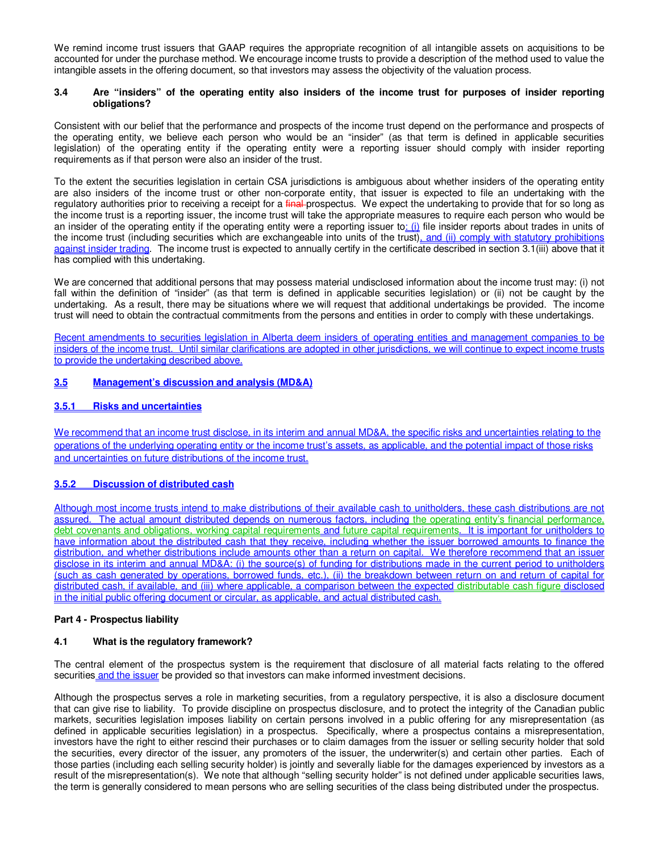We remind income trust issuers that GAAP requires the appropriate recognition of all intangible assets on acquisitions to be accounted for under the purchase method. We encourage income trusts to provide a description of the method used to value the intangible assets in the offering document, so that investors may assess the objectivity of the valuation process.

## 3.4 Are "insiders" of the operating entity also insiders of the income trust for purposes of insider reporting **obligations?**

Consistent with our belief that the performance and prospects of the income trust depend on the performance and prospects of the operating entity, we believe each person who would be an "insider" (as that term is defined in applicable securities legislation) of the operating entity if the operating entity were a reporting issuer should comply with insider reporting requirements as if that person were also an insider of the trust.

To the extent the securities legislation in certain CSA jurisdictions is ambiguous about whether insiders of the operating entity are also insiders of the income trust or other non-corporate entity, that issuer is expected to file an undertaking with the regulatory authorities prior to receiving a receipt for a final prospectus. We expect the undertaking to provide that for so long as the income trust is a reporting issuer, the income trust will take the appropriate measures to require each person who would be an insider of the operating entity if the operating entity were a reporting issuer to:  $(i)$  file insider reports about trades in units of the income trust (including securities which are exchangeable into units of the trust), and (ii) comply with statutory prohibitions against insider trading. The income trust is expected to annually certify in the certificate described in section 3.1(iii) above that it has complied with this undertaking.

We are concerned that additional persons that may possess material undisclosed information about the income trust may: (i) not fall within the definition of "insider" (as that term is defined in applicable securities legislation) or (ii) not be caught by the undertaking. As a result, there may be situations where we will request that additional undertakings be provided. The income trust will need to obtain the contractual commitments from the persons and entities in order to comply with these undertakings.

Recent amendments to securities legislation in Alberta deem insiders of operating entities and management companies to be insiders of the income trust. Until similar clarifications are adopted in other jurisdictions, we will continue to expect income trusts to provide the undertaking described above.

## **3.5 Management's discussion and analysis (MD&A)**

## **3.5.1 Risks and uncertainties**

We recommend that an income trust disclose, in its interim and annual MD&A, the specific risks and uncertainties relating to the operations of the underlying operating entity or the income trust's assets, as applicable, and the potential impact of those risks and uncertainties on future distributions of the income trust.

## **3.5.2 Discussion of distributed cash**

Although most income trusts intend to make distributions of their available cash to unitholders, these cash distributions are not assured. The actual amount distributed depends on numerous factors, including the operating entity's financial performance, debt covenants and obligations, working capital requirements and future capital requirements. It is important for unitholders to have information about the distributed cash that they receive, including whether the issuer borrowed amounts to finance the distribution, and whether distributions include amounts other than a return on capital. We therefore recommend that an issuer disclose in its interim and annual MD&A: (i) the source(s) of funding for distributions made in the current period to unitholders (such as cash generated by operations, borrowed funds, etc.), (ii) the breakdown between return on and return of capital for distributed cash, if available, and (iii) where applicable, a comparison between the expected distributable cash figure disclosed in the initial public offering document or circular, as applicable, and actual distributed cash.

## **Part 4 - Prospectus liability**

## **4.1 What is the regulatory framework?**

The central element of the prospectus system is the requirement that disclosure of all material facts relating to the offered securities and the issuer be provided so that investors can make informed investment decisions.

Although the prospectus serves a role in marketing securities, from a regulatory perspective, it is also a disclosure document that can give rise to liability. To provide discipline on prospectus disclosure, and to protect the integrity of the Canadian public markets, securities legislation imposes liability on certain persons involved in a public offering for any misrepresentation (as defined in applicable securities legislation) in a prospectus. Specifically, where a prospectus contains a misrepresentation, investors have the right to either rescind their purchases or to claim damages from the issuer or selling security holder that sold the securities, every director of the issuer, any promoters of the issuer, the underwriter(s) and certain other parties. Each of those parties (including each selling security holder) is jointly and severally liable for the damages experienced by investors as a result of the misrepresentation(s). We note that although "selling security holder" is not defined under applicable securities laws, the term is generally considered to mean persons who are selling securities of the class being distributed under the prospectus.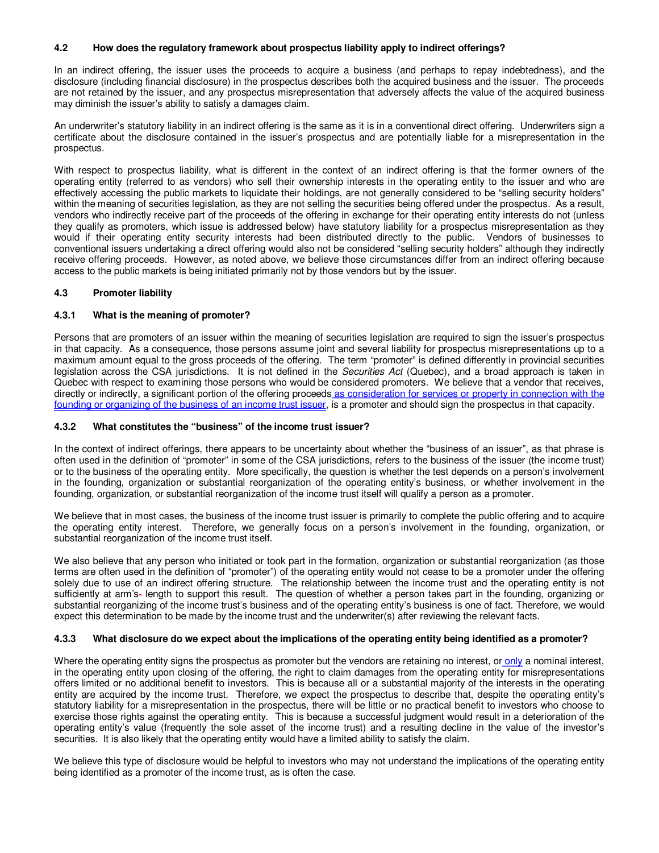## **4.2 How does the regulatory framework about prospectus liability apply to indirect offerings?**

In an indirect offering, the issuer uses the proceeds to acquire a business (and perhaps to repay indebtedness), and the disclosure (including financial disclosure) in the prospectus describes both the acquired business and the issuer. The proceeds are not retained by the issuer, and any prospectus misrepresentation that adversely affects the value of the acquired business may diminish the issuer's ability to satisfy a damages claim.

An underwriter's statutory liability in an indirect offering is the same as it is in a conventional direct offering. Underwriters sign a certificate about the disclosure contained in the issuer's prospectus and are potentially liable for a misrepresentation in the prospectus.

With respect to prospectus liability, what is different in the context of an indirect offering is that the former owners of the operating entity (referred to as vendors) who sell their ownership interests in the operating entity to the issuer and who are effectively accessing the public markets to liquidate their holdings, are not generally considered to be "selling security holders" within the meaning of securities legislation, as they are not selling the securities being offered under the prospectus. As a result, vendors who indirectly receive part of the proceeds of the offering in exchange for their operating entity interests do not (unless they qualify as promoters, which issue is addressed below) have statutory liability for a prospectus misrepresentation as they would if their operating entity security interests had been distributed directly to the public. Vendors of businesses to conventional issuers undertaking a direct offering would also not be considered "selling security holders" although they indirectly receive offering proceeds. However, as noted above, we believe those circumstances differ from an indirect offering because access to the public markets is being initiated primarily not by those vendors but by the issuer.

## **4.3 Promoter liability**

## **4.3.1 What is the meaning of promoter?**

Persons that are promoters of an issuer within the meaning of securities legislation are required to sign the issuer's prospectus in that capacity. As a consequence, those persons assume joint and several liability for prospectus misrepresentations up to a maximum amount equal to the gross proceeds of the offering. The term "promoter" is defined differently in provincial securities legislation across the CSA jurisdictions. It is not defined in the *Securities Act* (Quebec), and a broad approach is taken in Quebec with respect to examining those persons who would be considered promoters. We believe that a vendor that receives, directly or indirectly, a significant portion of the offering proceeds as consideration for services or property in connection with the founding or organizing of the business of an income trust issuer, is a promoter and should sign the prospectus in that capacity.

## **4.3.2 What constitutes the "business" of the income trust issuer?**

In the context of indirect offerings, there appears to be uncertainty about whether the "business of an issuer", as that phrase is often used in the definition of "promoter" in some of the CSA jurisdictions, refers to the business of the issuer (the income trust) or to the business of the operating entity. More specifically, the question is whether the test depends on a person's involvement in the founding, organization or substantial reorganization of the operating entity's business, or whether involvement in the founding, organization, or substantial reorganization of the income trust itself will qualify a person as a promoter.

We believe that in most cases, the business of the income trust issuer is primarily to complete the public offering and to acquire the operating entity interest. Therefore, we generally focus on a person's involvement in the founding, organization, or substantial reorganization of the income trust itself.

We also believe that any person who initiated or took part in the formation, organization or substantial reorganization (as those terms are often used in the definition of "promoter") of the operating entity would not cease to be a promoter under the offering solely due to use of an indirect offering structure. The relationship between the income trust and the operating entity is not sufficiently at arm's- length to support this result. The question of whether a person takes part in the founding, organizing or substantial reorganizing of the income trust's business and of the operating entity's business is one of fact. Therefore, we would expect this determination to be made by the income trust and the underwriter(s) after reviewing the relevant facts.

## 4.3.3 What disclosure do we expect about the implications of the operating entity being identified as a promoter?

Where the operating entity signs the prospectus as promoter but the vendors are retaining no interest, or only a nominal interest, in the operating entity upon closing of the offering, the right to claim damages from the operating entity for misrepresentations offers limited or no additional benefit to investors. This is because all or a substantial majority of the interests in the operating entity are acquired by the income trust. Therefore, we expect the prospectus to describe that, despite the operating entity's statutory liability for a misrepresentation in the prospectus, there will be little or no practical benefit to investors who choose to exercise those rights against the operating entity. This is because a successful judgment would result in a deterioration of the operating entity's value (frequently the sole asset of the income trust) and a resulting decline in the value of the investor's securities. It is also likely that the operating entity would have a limited ability to satisfy the claim.

We believe this type of disclosure would be helpful to investors who may not understand the implications of the operating entity being identified as a promoter of the income trust, as is often the case.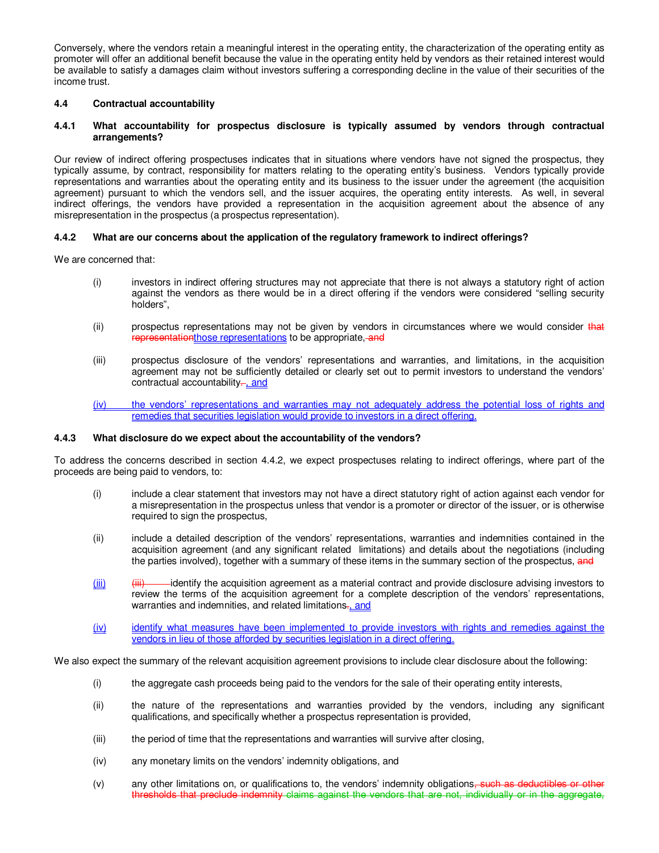Conversely, where the vendors retain a meaningful interest in the operating entity, the characterization of the operating entity as promoter will offer an additional benefit because the value in the operating entity held by vendors as their retained interest would be available to satisfy a damages claim without investors suffering a corresponding decline in the value of their securities of the income trust.

## **4.4 Contractual accountability**

#### **4.4.1 What accountability for prospectus disclosure is typically assumed by vendors through contractual arrangements?**

Our review of indirect offering prospectuses indicates that in situations where vendors have not signed the prospectus, they typically assume, by contract, responsibility for matters relating to the operating entity's business. Vendors typically provide representations and warranties about the operating entity and its business to the issuer under the agreement (the acquisition agreement) pursuant to which the vendors sell, and the issuer acquires, the operating entity interests. As well, in several indirect offerings, the vendors have provided a representation in the acquisition agreement about the absence of any misrepresentation in the prospectus (a prospectus representation).

## **4.4.2 What are our concerns about the application of the regulatory framework to indirect offerings?**

We are concerned that:

- (i) investors in indirect offering structures may not appreciate that there is not always a statutory right of action against the vendors as there would be in a direct offering if the vendors were considered "selling security holders",
- (ii) prospectus representations may not be given by vendors in circumstances where we would consider that representationthose representations to be appropriate, and
- (iii) prospectus disclosure of the vendors' representations and warranties, and limitations, in the acquisition agreement may not be sufficiently detailed or clearly set out to permit investors to understand the vendors' contractual accountability. , and
- (iv) the vendors' representations and warranties may not adequately address the potential loss of rights and remedies that securities legislation would provide to investors in a direct offering.

## **4.4.3 What disclosure do we expect about the accountability of the vendors?**

To address the concerns described in section 4.4.2, we expect prospectuses relating to indirect offerings, where part of the proceeds are being paid to vendors, to:

- (i) include a clear statement that investors may not have a direct statutory right of action against each vendor for a misrepresentation in the prospectus unless that vendor is a promoter or director of the issuer, or is otherwise required to sign the prospectus,
- (ii) include a detailed description of the vendors' representations, warranties and indemnities contained in the acquisition agreement (and any significant related limitations) and details about the negotiations (including the parties involved), together with a summary of these items in the summary section of the prospectus, and
- $(iii)$   $(iii)$  identify the acquisition agreement as a material contract and provide disclosure advising investors to review the terms of the acquisition agreement for a complete description of the vendors' representations, warranties and indemnities, and related limitations. and
- (iv) identify what measures have been implemented to provide investors with rights and remedies against the vendors in lieu of those afforded by securities legislation in a direct offering.

We also expect the summary of the relevant acquisition agreement provisions to include clear disclosure about the following:

- (i) the aggregate cash proceeds being paid to the vendors for the sale of their operating entity interests,
- (ii) the nature of the representations and warranties provided by the vendors, including any significant qualifications, and specifically whether a prospectus representation is provided,
- (iii) the period of time that the representations and warranties will survive after closing,
- (iv) any monetary limits on the vendors' indemnity obligations, and
- (v) any other limitations on, or qualifications to, the vendors' indemnity obligations, such as deductibles or other thresholds that preclude indemnity claims against the vendors that are not, individually or in the aggregate,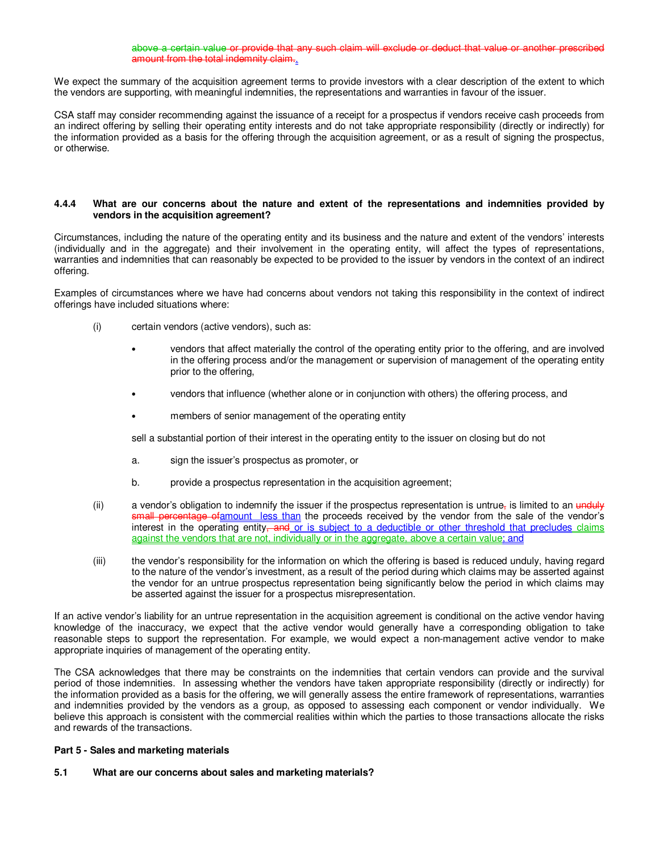#### above a certain value or provide that any such claim will exclude or deduct that value or another prescribed amount from the total indemnity claim.

We expect the summary of the acquisition agreement terms to provide investors with a clear description of the extent to which the vendors are supporting, with meaningful indemnities, the representations and warranties in favour of the issuer.

CSA staff may consider recommending against the issuance of a receipt for a prospectus if vendors receive cash proceeds from an indirect offering by selling their operating entity interests and do not take appropriate responsibility (directly or indirectly) for the information provided as a basis for the offering through the acquisition agreement, or as a result of signing the prospectus, or otherwise.

## 4.4.4 What are our concerns about the nature and extent of the representations and indemnities provided by **vendors in the acquisition agreement?**

Circumstances, including the nature of the operating entity and its business and the nature and extent of the vendors' interests (individually and in the aggregate) and their involvement in the operating entity, will affect the types of representations, warranties and indemnities that can reasonably be expected to be provided to the issuer by vendors in the context of an indirect offering.

Examples of circumstances where we have had concerns about vendors not taking this responsibility in the context of indirect offerings have included situations where:

- (i) certain vendors (active vendors), such as:
	- vendors that affect materially the control of the operating entity prior to the offering, and are involved in the offering process and/or the management or supervision of management of the operating entity prior to the offering,
	- vendors that influence (whether alone or in conjunction with others) the offering process, and
	- members of senior management of the operating entity

sell a substantial portion of their interest in the operating entity to the issuer on closing but do not

- a. sign the issuer's prospectus as promoter, or
- b. provide a prospectus representation in the acquisition agreement;
- (ii) a vendor's obligation to indemnify the issuer if the prospectus representation is untrue, is limited to an  $\frac{1}{4}$ small percentage ofamount less than the proceeds received by the vendor from the sale of the vendor's interest in the operating entity, and or is subject to a deductible or other threshold that precludes claims against the vendors that are not, individually or in the aggregate, above a certain value; and
- (iii) the vendor's responsibility for the information on which the offering is based is reduced unduly, having regard to the nature of the vendor's investment, as a result of the period during which claims may be asserted against the vendor for an untrue prospectus representation being significantly below the period in which claims may be asserted against the issuer for a prospectus misrepresentation.

If an active vendor's liability for an untrue representation in the acquisition agreement is conditional on the active vendor having knowledge of the inaccuracy, we expect that the active vendor would generally have a corresponding obligation to take reasonable steps to support the representation. For example, we would expect a non-management active vendor to make appropriate inquiries of management of the operating entity.

The CSA acknowledges that there may be constraints on the indemnities that certain vendors can provide and the survival period of those indemnities. In assessing whether the vendors have taken appropriate responsibility (directly or indirectly) for the information provided as a basis for the offering, we will generally assess the entire framework of representations, warranties and indemnities provided by the vendors as a group, as opposed to assessing each component or vendor individually. We believe this approach is consistent with the commercial realities within which the parties to those transactions allocate the risks and rewards of the transactions.

## **Part 5 - Sales and marketing materials**

## **5.1 What are our concerns about sales and marketing materials?**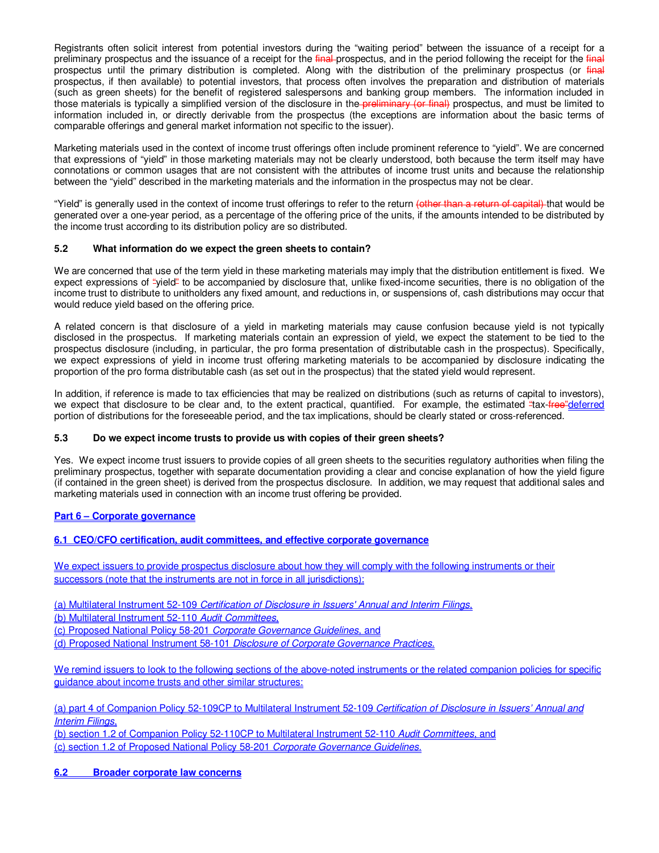Registrants often solicit interest from potential investors during the "waiting period" between the issuance of a receipt for a preliminary prospectus and the issuance of a receipt for the final prospectus, and in the period following the receipt for the final prospectus until the primary distribution is completed. Along with the distribution of the preliminary prospectus (or final prospectus, if then available) to potential investors, that process often involves the preparation and distribution of materials (such as green sheets) for the benefit of registered salespersons and banking group members. The information included in those materials is typically a simplified version of the disclosure in the preliminary (or final) prospectus, and must be limited to information included in, or directly derivable from the prospectus (the exceptions are information about the basic terms of comparable offerings and general market information not specific to the issuer).

Marketing materials used in the context of income trust offerings often include prominent reference to "yield". We are concerned that expressions of "yield" in those marketing materials may not be clearly understood, both because the term itself may have connotations or common usages that are not consistent with the attributes of income trust units and because the relationship between the "yield" described in the marketing materials and the information in the prospectus may not be clear.

"Yield" is generally used in the context of income trust offerings to refer to the return (other than a return of capital) that would be generated over a one-year period, as a percentage of the offering price of the units, if the amounts intended to be distributed by the income trust according to its distribution policy are so distributed.

## **5.2 What information do we expect the green sheets to contain?**

We are concerned that use of the term yield in these marketing materials may imply that the distribution entitlement is fixed. We expect expressions of "yield" to be accompanied by disclosure that, unlike fixed-income securities, there is no obligation of the income trust to distribute to unitholders any fixed amount, and reductions in, or suspensions of, cash distributions may occur that would reduce yield based on the offering price.

A related concern is that disclosure of a yield in marketing materials may cause confusion because yield is not typically disclosed in the prospectus. If marketing materials contain an expression of yield, we expect the statement to be tied to the prospectus disclosure (including, in particular, the pro forma presentation of distributable cash in the prospectus). Specifically, we expect expressions of yield in income trust offering marketing materials to be accompanied by disclosure indicating the proportion of the pro forma distributable cash (as set out in the prospectus) that the stated yield would represent.

In addition, if reference is made to tax efficiencies that may be realized on distributions (such as returns of capital to investors), we expect that disclosure to be clear and, to the extent practical, quantified. For example, the estimated "tax-free"deferred portion of distributions for the foreseeable period, and the tax implications, should be clearly stated or cross-referenced.

## **5.3 Do we expect income trusts to provide us with copies of their green sheets?**

Yes. We expect income trust issuers to provide copies of all green sheets to the securities regulatory authorities when filing the preliminary prospectus, together with separate documentation providing a clear and concise explanation of how the yield figure (if contained in the green sheet) is derived from the prospectus disclosure. In addition, we may request that additional sales and marketing materials used in connection with an income trust offering be provided.

## **Part 6 – Corporate governance**

**6.1 CEO/CFO certification, audit committees, and effective corporate governance**

We expect issuers to provide prospectus disclosure about how they will comply with the following instruments or their successors (note that the instruments are not in force in all jurisdictions):

(a) Multilateral Instrument 52-109 *Certification of Disclosure in Issuers' Annual and Interim Filings*,

(b) Multilateral Instrument 52-110 *Audit Committees*,

(c) Proposed National Policy 58-201 *Corporate Governance Guidelines*, and

(d) Proposed National Instrument 58-101 *Disclosure of Corporate Governance Practices*.

We remind issuers to look to the following sections of the above-noted instruments or the related companion policies for specific guidance about income trusts and other similar structures:

(a) part 4 of Companion Policy 52-109CP to Multilateral Instrument 52-109 *Certification of Disclosure in Issuers' Annual and Interim Filings*,

(b) section 1.2 of Companion Policy 52-110CP to Multilateral Instrument 52-110 *Audit Committees*, and (c) section 1.2 of Proposed National Policy 58-201 *Corporate Governance Guidelines*.

**6.2 Broader corporate law concerns**